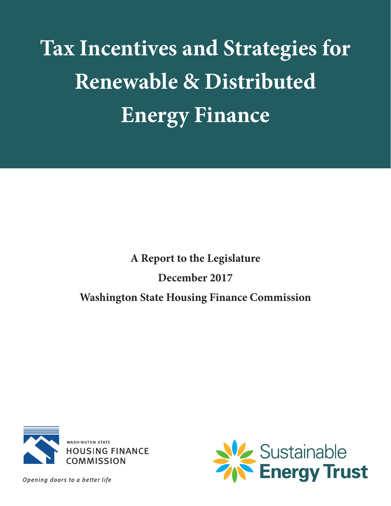**Tax Incentives and Strategies for Renewable & Distributed Energy Finance**

# **A Report to the Legislature December 2017 Washington State Housing Finance Commission**



Opening doors to a better life

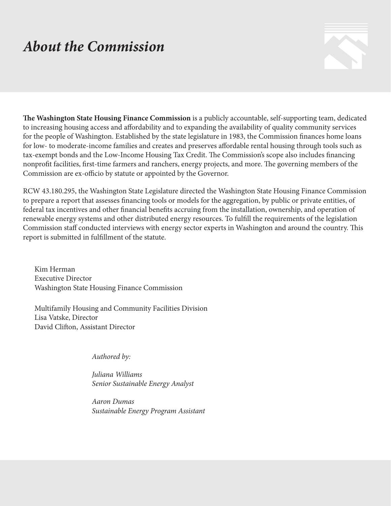# *About the Commission*



**The Washington State Housing Finance Commission** is a publicly accountable, self-supporting team, dedicated to increasing housing access and affordability and to expanding the availability of quality community services for the people of Washington. Established by the state legislature in 1983, the Commission finances home loans for low- to moderate-income families and creates and preserves affordable rental housing through tools such as tax-exempt bonds and the Low-Income Housing Tax Credit. The Commission's scope also includes financing nonprofit facilities, first-time farmers and ranchers, energy projects, and more. The governing members of the Commission are ex-officio by statute or appointed by the Governor.

RCW 43.180.295, the Washington State Legislature directed the Washington State Housing Finance Commission to prepare a report that assesses financing tools or models for the aggregation, by public or private entities, of federal tax incentives and other financial benefits accruing from the installation, ownership, and operation of renewable energy systems and other distributed energy resources. To fulfill the requirements of the legislation Commission staff conducted interviews with energy sector experts in Washington and around the country. This report is submitted in fulfillment of the statute.

Kim Herman Executive Director Washington State Housing Finance Commission

Multifamily Housing and Community Facilities Division Lisa Vatske, Director David Clifton, Assistant Director

*Authored by:*

*Juliana Williams Senior Sustainable Energy Analyst*

*Aaron Dumas Sustainable Energy Program Assistant*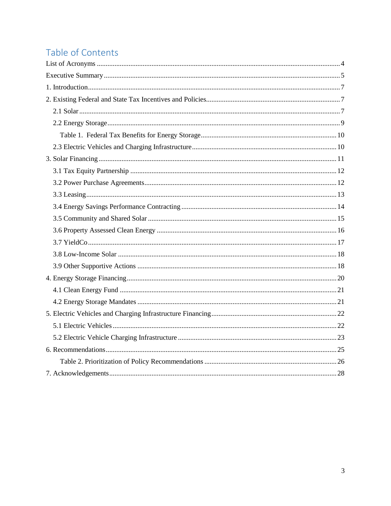## Table of Contents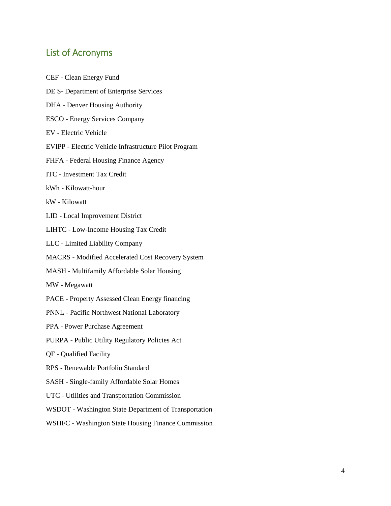### <span id="page-3-0"></span>List of Acronyms

- CEF Clean Energy Fund DE S- Department of Enterprise Services DHA - Denver Housing Authority ESCO - Energy Services Company EV - Electric Vehicle EVIPP - Electric Vehicle Infrastructure Pilot Program FHFA - Federal Housing Finance Agency ITC - Investment Tax Credit kWh - Kilowatt-hour kW - Kilowatt LID - Local Improvement District LIHTC - Low-Income Housing Tax Credit LLC - Limited Liability Company MACRS - Modified Accelerated Cost Recovery System MASH - Multifamily Affordable Solar Housing MW - Megawatt PACE - Property Assessed Clean Energy financing PNNL - Pacific Northwest National Laboratory PPA - Power Purchase Agreement PURPA - Public Utility Regulatory Policies Act QF - Qualified Facility RPS - Renewable Portfolio Standard SASH - Single-family Affordable Solar Homes UTC - Utilities and Transportation Commission WSDOT - Washington State Department of Transportation
- WSHFC Washington State Housing Finance Commission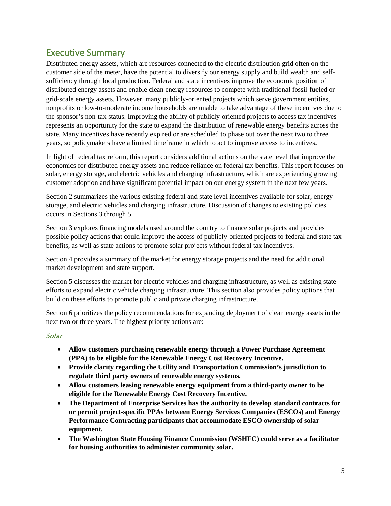## <span id="page-4-0"></span>Executive Summary

Distributed energy assets, which are resources connected to the electric distribution grid often on the customer side of the meter, have the potential to diversify our energy supply and build wealth and selfsufficiency through local production. Federal and state incentives improve the economic position of distributed energy assets and enable clean energy resources to compete with traditional fossil-fueled or grid-scale energy assets. However, many publicly-oriented projects which serve government entities, nonprofits or low-to-moderate income households are unable to take advantage of these incentives due to the sponsor's non-tax status. Improving the ability of publicly-oriented projects to access tax incentives represents an opportunity for the state to expand the distribution of renewable energy benefits across the state. Many incentives have recently expired or are scheduled to phase out over the next two to three years, so policymakers have a limited timeframe in which to act to improve access to incentives.

In light of federal tax reform, this report considers additional actions on the state level that improve the economics for distributed energy assets and reduce reliance on federal tax benefits. This report focuses on solar, energy storage, and electric vehicles and charging infrastructure, which are experiencing growing customer adoption and have significant potential impact on our energy system in the next few years.

Section 2 summarizes the various existing federal and state level incentives available for solar, energy storage, and electric vehicles and charging infrastructure. Discussion of changes to existing policies occurs in Sections 3 through 5.

Section 3 explores financing models used around the country to finance solar projects and provides possible policy actions that could improve the access of publicly-oriented projects to federal and state tax benefits, as well as state actions to promote solar projects without federal tax incentives.

Section 4 provides a summary of the market for energy storage projects and the need for additional market development and state support.

Section 5 discusses the market for electric vehicles and charging infrastructure, as well as existing state efforts to expand electric vehicle charging infrastructure. This section also provides policy options that build on these efforts to promote public and private charging infrastructure.

Section 6 prioritizes the policy recommendations for expanding deployment of clean energy assets in the next two or three years. The highest priority actions are:

#### Solar

- **Allow customers purchasing renewable energy through a Power Purchase Agreement (PPA) to be eligible for the Renewable Energy Cost Recovery Incentive.**
- **Provide clarity regarding the Utility and Transportation Commission's jurisdiction to regulate third party owners of renewable energy systems.**
- **Allow customers leasing renewable energy equipment from a third-party owner to be eligible for the Renewable Energy Cost Recovery Incentive.**
- **The Department of Enterprise Services has the authority to develop standard contracts for or permit project-specific PPAs between Energy Services Companies (ESCOs) and Energy Performance Contracting participants that accommodate ESCO ownership of solar equipment.**
- **The Washington State Housing Finance Commission (WSHFC) could serve as a facilitator for housing authorities to administer community solar.**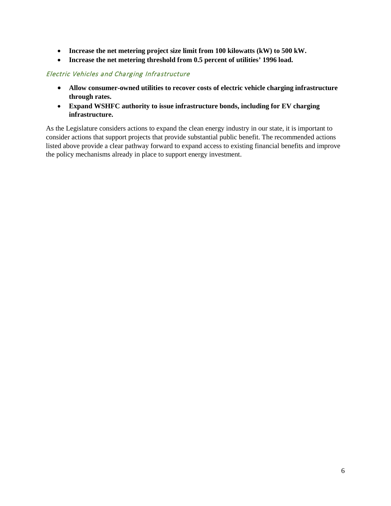- **Increase the net metering project size limit from 100 kilowatts (kW) to 500 kW.**
- **Increase the net metering threshold from 0.5 percent of utilities' 1996 load.**

#### Electric Vehicles and Charging Infrastructure

- **Allow consumer-owned utilities to recover costs of electric vehicle charging infrastructure through rates.**
- **Expand WSHFC authority to issue infrastructure bonds, including for EV charging infrastructure.**

As the Legislature considers actions to expand the clean energy industry in our state, it is important to consider actions that support projects that provide substantial public benefit. The recommended actions listed above provide a clear pathway forward to expand access to existing financial benefits and improve the policy mechanisms already in place to support energy investment.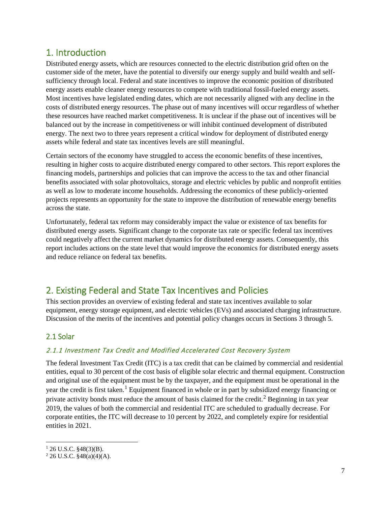## <span id="page-6-0"></span>1. Introduction

Distributed energy assets, which are resources connected to the electric distribution grid often on the customer side of the meter, have the potential to diversify our energy supply and build wealth and selfsufficiency through local. Federal and state incentives to improve the economic position of distributed energy assets enable cleaner energy resources to compete with traditional fossil-fueled energy assets. Most incentives have legislated ending dates, which are not necessarily aligned with any decline in the costs of distributed energy resources. The phase out of many incentives will occur regardless of whether these resources have reached market competitiveness. It is unclear if the phase out of incentives will be balanced out by the increase in competitiveness or will inhibit continued development of distributed energy. The next two to three years represent a critical window for deployment of distributed energy assets while federal and state tax incentives levels are still meaningful.

Certain sectors of the economy have struggled to access the economic benefits of these incentives, resulting in higher costs to acquire distributed energy compared to other sectors. This report explores the financing models, partnerships and policies that can improve the access to the tax and other financial benefits associated with solar photovoltaics, storage and electric vehicles by public and nonprofit entities as well as low to moderate income households. Addressing the economics of these publicly-oriented projects represents an opportunity for the state to improve the distribution of renewable energy benefits across the state.

Unfortunately, federal tax reform may considerably impact the value or existence of tax benefits for distributed energy assets. Significant change to the corporate tax rate or specific federal tax incentives could negatively affect the current market dynamics for distributed energy assets. Consequently, this report includes actions on the state level that would improve the economics for distributed energy assets and reduce reliance on federal tax benefits.

## <span id="page-6-1"></span>2. Existing Federal and State Tax Incentives and Policies

This section provides an overview of existing federal and state tax incentives available to solar equipment, energy storage equipment, and electric vehicles (EVs) and associated charging infrastructure. Discussion of the merits of the incentives and potential policy changes occurs in Sections 3 through 5.

#### <span id="page-6-2"></span>2.1 Solar

#### 2.1.1 Investment Tax Credit and Modified Accelerated Cost Recovery System

The federal Investment Tax Credit (ITC) is a tax credit that can be claimed by commercial and residential entities, equal to 30 percent of the cost basis of eligible solar electric and thermal equipment. Construction and original use of the equipment must be by the taxpayer, and the equipment must be operational in the year the credit is first taken.<sup>[1](#page-6-3)</sup> Equipment financed in whole or in part by subsidized energy financing or private activity bonds must reduce the amount of basis claimed for the credit.<sup>[2](#page-6-4)</sup> Beginning in tax year 2019, the values of both the commercial and residential ITC are scheduled to gradually decrease. For corporate entities, the ITC will decrease to 10 percent by 2022, and completely expire for residential entities in 2021.

<span id="page-6-3"></span> $126$  U.S.C. §48(3)(B).

<span id="page-6-4"></span> $2$  26 U.S.C. §48(a)(4)(A).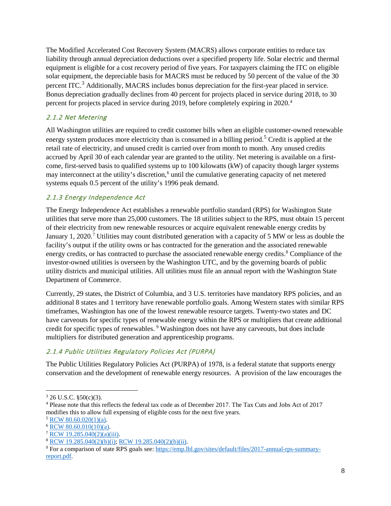The Modified Accelerated Cost Recovery System (MACRS) allows corporate entities to reduce tax liability through annual depreciation deductions over a specified property life. Solar electric and thermal equipment is eligible for a cost recovery period of five years. For taxpayers claiming the ITC on eligible solar equipment, the depreciable basis for MACRS must be reduced by 50 percent of the value of the 30 percent ITC.<sup>[3](#page-7-0)</sup> Additionally, MACRS includes bonus depreciation for the first-year placed in service. Bonus depreciation gradually declines from 40 percent for projects placed in service during 2018, to 30 percent for projects placed in service during 2019, before completely expiring in 2020.[4](#page-7-1)

#### 2.1.2 Net Metering

All Washington utilities are required to credit customer bills when an eligible customer-owned renewable energy system produces more electricity than is consumed in a billing period.<sup>[5](#page-7-2)</sup> Credit is applied at the retail rate of electricity, and unused credit is carried over from month to month. Any unused credits accrued by April 30 of each calendar year are granted to the utility. Net metering is available on a firstcome, first-served basis to qualified systems up to 100 kilowatts (kW) of capacity though larger systems may interconnect at the utility's discretion,<sup>[6](#page-7-3)</sup> until the cumulative generating capacity of net metered systems equals 0.5 percent of the utility's 1996 peak demand.

#### 2.1.3 Energy Independence Act

The Energy Independence Act establishes a renewable portfolio standard (RPS) for Washington State utilities that serve more than 25,000 customers. The 18 utilities subject to the RPS, must obtain 15 percent of their electricity from new renewable resources or acquire equivalent renewable energy credits by January 1, 2020.<sup>[7](#page-7-4)</sup> Utilities may count distributed generation with a capacity of 5 MW or less as double the facility's output if the utility owns or has contracted for the generation and the associated renewable energy credits, or has contracted to purchase the associated renewable energy credits.<sup>[8](#page-7-5)</sup> Compliance of the investor-owned utilities is overseen by the Washington UTC, and by the governing boards of public utility districts and municipal utilities. All utilities must file an annual report with the Washington State Department of Commerce.

Currently, 29 states, the District of Columbia, and 3 U.S. territories have mandatory RPS policies, and an additional 8 states and 1 territory have renewable portfolio goals. Among Western states with similar RPS timeframes, Washington has one of the lowest renewable resource targets. Twenty-two states and DC have carveouts for specific types of renewable energy within the RPS or multipliers that create additional credit for specific types of renewables. [9](#page-7-6) Washington does not have any carveouts, but does include multipliers for distributed generation and apprenticeship programs.

#### 2.1.4 Public Utilities Regulatory Policies Act (PURPA)

The Public Utilities Regulatory Policies Act (PURPA) of 1978, is a federal statute that supports energy conservation and the development of renewable energy resources. A provision of the law encourages the

<span id="page-7-0"></span> $3$  26 U.S.C. §50(c)(3).

<span id="page-7-1"></span><sup>4</sup> Please note that this reflects the federal tax code as of December 2017. The Tax Cuts and Jobs Act of 2017 modifies this to allow full expensing of eligible costs for the next five years.

<span id="page-7-2"></span><sup>5</sup> [RCW 80.60.020\(1\)\(a\).](http://app.leg.wa.gov/RCW/default.aspx?cite=80.60.020)

<span id="page-7-3"></span> $6$  [RCW 80.60.010\(10\)\(a\).](http://app.leg.wa.gov/RCW/default.aspx?cite=80.60.010)

<span id="page-7-4"></span> $7 \overline{\text{RCW}}$  19.285.040(2)(a)(iii).

<span id="page-7-5"></span><sup>8</sup> [RCW 19.285.040\(2\)\(b\)\(i\); RCW 19.285.040\(2\)\(b\)\(ii\).](http://app.leg.wa.gov/RCW/default.aspx?cite=19.285.040)

<span id="page-7-6"></span><sup>9</sup> For a comparison of state RPS goals see: [https://emp.lbl.gov/sites/default/files/2017-annual-rps-summary](https://emp.lbl.gov/sites/default/files/2017-annual-rps-summary-report.pdf)[report.pdf.](https://emp.lbl.gov/sites/default/files/2017-annual-rps-summary-report.pdf)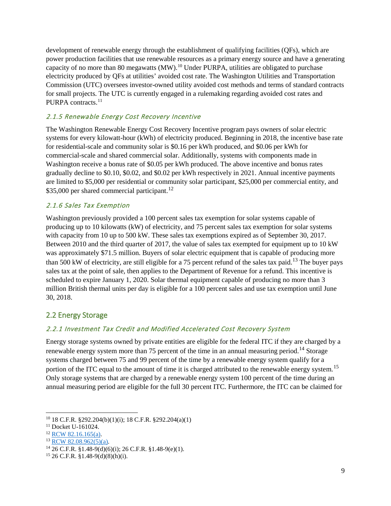development of renewable energy through the establishment of qualifying facilities (QFs), which are power production facilities that use renewable resources as a primary energy source and have a generating capacity of no more than 80 megawatts (MW).<sup>10</sup> Under PURPA, utilities are obligated to purchase electricity produced by QFs at utilities' avoided cost rate. The Washington Utilities and Transportation Commission (UTC) oversees investor-owned utility avoided cost methods and terms of standard contracts for small projects. The UTC is currently engaged in a rulemaking regarding avoided cost rates and PURPA contracts.<sup>[11](#page-8-2)</sup>

#### 2.1.5 Renewable Energy Cost Recovery Incentive

The Washington Renewable Energy Cost Recovery Incentive program pays owners of solar electric systems for every kilowatt-hour (kWh) of electricity produced. Beginning in 2018, the incentive base rate for residential-scale and community solar is \$0.16 per kWh produced, and \$0.06 per kWh for commercial-scale and shared commercial solar. Additionally, systems with components made in Washington receive a bonus rate of \$0.05 per kWh produced. The above incentive and bonus rates gradually decline to \$0.10, \$0.02, and \$0.02 per kWh respectively in 2021. Annual incentive payments are limited to \$5,000 per residential or community solar participant, \$25,000 per commercial entity, and \$35,000 per shared commercial participant.<sup>[12](#page-8-3)</sup>

#### 2.1.6 Sales Tax Exemption

Washington previously provided a 100 percent sales tax exemption for solar systems capable of producing up to 10 kilowatts (kW) of electricity, and 75 percent sales tax exemption for solar systems with capacity from 10 up to 500 kW. These sales tax exemptions expired as of September 30, 2017. Between 2010 and the third quarter of 2017, the value of sales tax exempted for equipment up to 10 kW was approximately \$71.5 million. Buyers of solar electric equipment that is capable of producing more than 500 kW of electricity, are still eligible for a 75 percent refund of the sales tax paid.<sup>[13](#page-8-4)</sup> The buyer pays sales tax at the point of sale, then applies to the Department of Revenue for a refund. This incentive is scheduled to expire January 1, 2020. Solar thermal equipment capable of producing no more than 3 million British thermal units per day is eligible for a 100 percent sales and use tax exemption until June 30, 2018.

#### <span id="page-8-0"></span>2.2 Energy Storage

#### 2.2.1 Investment Tax Credit and Modified Accelerated Cost Recovery System

Energy storage systems owned by private entities are eligible for the federal ITC if they are charged by a renewable energy system more than 75 percent of the time in an annual measuring period.<sup>[14](#page-8-5)</sup> Storage systems charged between 75 and 99 percent of the time by a renewable energy system qualify for a portion of the ITC equal to the amount of time it is charged attributed to the renewable energy system.<sup>[15](#page-8-6)</sup> Only storage systems that are charged by a renewable energy system 100 percent of the time during an annual measuring period are eligible for the full 30 percent ITC. Furthermore, the ITC can be claimed for

<span id="page-8-1"></span> <sup>10</sup> 18 C.F.R. §292.204(b)(1)(i); 18 C.F.R. §292.204(a)(1)

<span id="page-8-2"></span> $11$  Docket U-161024.

<span id="page-8-3"></span><sup>&</sup>lt;sup>12</sup> RCW 82.1<u>6.165(a)</u>.

<span id="page-8-4"></span><sup>13</sup> [RCW 82.08.962\(5\)\(a\).](http://app.leg.wa.gov/RCW/default.aspx?cite=82.08.962)

<span id="page-8-5"></span> $^{14}$  26 C.F.R. §1.48-9(d)(6)(i); 26 C.F.R. §1.48-9(e)(1).

<span id="page-8-6"></span> $15$  26 C.F.R. §1.48-9(d)(8)(h)(i).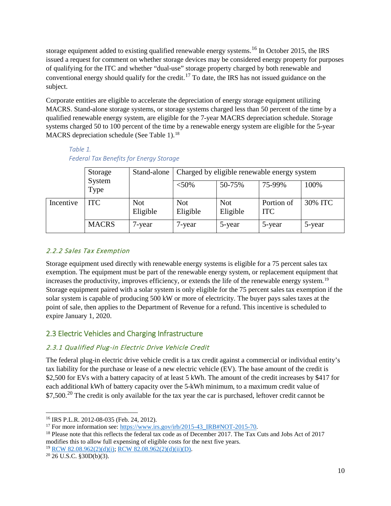storage equipment added to existing qualified renewable energy systems.<sup>[16](#page-9-2)</sup> In October 2015, the IRS issued a request for comment on whether storage devices may be considered energy property for purposes of qualifying for the ITC and whether "dual-use" storage property charged by both renewable and conventional energy should qualify for the credit.[17](#page-9-3) To date, the IRS has not issued guidance on the subject.

Corporate entities are eligible to accelerate the depreciation of energy storage equipment utilizing MACRS. Stand-alone storage systems, or storage systems charged less than 50 percent of the time by a qualified renewable energy system, are eligible for the 7-year MACRS depreciation schedule. Storage systems charged 50 to 100 percent of the time by a renewable energy system are eligible for the 5-year MACRS depreciation schedule (See Table 1).<sup>[18](#page-9-4)</sup>

*Table 1. Federal Tax Benefits for Energy Storage*

<span id="page-9-0"></span>

|           | Storage        | Stand-alone            | Charged by eligible renewable energy system |                        |                          |         |
|-----------|----------------|------------------------|---------------------------------------------|------------------------|--------------------------|---------|
|           | System<br>Type |                        | $< 50\%$                                    | 50-75%                 | 75-99%                   | 100%    |
| Incentive | <b>ITC</b>     | <b>Not</b><br>Eligible | <b>Not</b><br>Eligible                      | <b>Not</b><br>Eligible | Portion of<br><b>ITC</b> | 30% ITC |
|           | <b>MACRS</b>   | 7-year                 | 7-year                                      | 5-year                 | 5-year                   | 5-year  |

#### 2.2.2 Sales Tax Exemption

Storage equipment used directly with renewable energy systems is eligible for a 75 percent sales tax exemption. The equipment must be part of the renewable energy system, or replacement equipment that increases the productivity, improves efficiency, or extends the life of the renewable energy system.<sup>[19](#page-9-5)</sup> Storage equipment paired with a solar system is only eligible for the 75 percent sales tax exemption if the solar system is capable of producing 500 kW or more of electricity. The buyer pays sales taxes at the point of sale, then applies to the Department of Revenue for a refund. This incentive is scheduled to expire January 1, 2020.

#### <span id="page-9-1"></span>2.3 Electric Vehicles and Charging Infrastructure

#### 2.3.1 Qualified Plug-in Electric Drive Vehicle Credit

The federal plug-in electric drive vehicle credit is a tax credit against a commercial or individual entity's tax liability for the purchase or lease of a new electric vehicle (EV). The base amount of the credit is \$2,500 for EVs with a battery capacity of at least 5 kWh. The amount of the credit increases by \$417 for each additional kWh of battery capacity over the 5-kWh minimum, to a maximum credit value of \$7,500.<sup>[20](#page-9-6)</sup> The credit is only available for the tax year the car is purchased, leftover credit cannot be

<span id="page-9-2"></span> <sup>16</sup> IRS P.L.R. 2012-08-035 (Feb. 24, 2012).

<span id="page-9-3"></span><sup>&</sup>lt;sup>17</sup> For more information see: [https://www.irs.gov/irb/2015-43\\_IRB#NOT-2015-70.](https://www.irs.gov/irb/2015-43_IRB#NOT-2015-70)

<span id="page-9-4"></span><sup>&</sup>lt;sup>18</sup> Please note that this reflects the federal tax code as of December 2017. The Tax Cuts and Jobs Act of 2017 modifies this to allow full expensing of eligible costs for the next five years. <sup>19</sup> [RCW 82.08.962\(2\)\(d\)\(i\); RCW 82.08.962\(2\)\(d\)\(ii\)\(D\).](http://app.leg.wa.gov/RCW/default.aspx?cite=82.08.962)

<span id="page-9-6"></span><span id="page-9-5"></span> $20$  26 U.S.C. §30D(b)(3).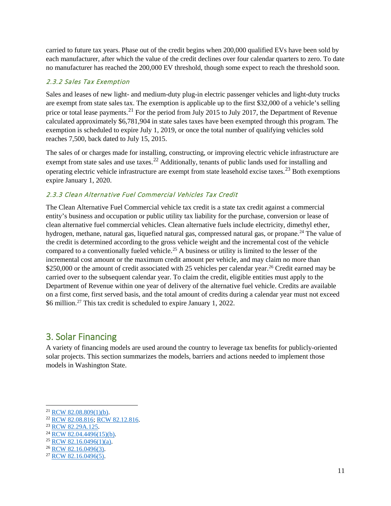carried to future tax years. Phase out of the credit begins when 200,000 qualified EVs have been sold by each manufacturer, after which the value of the credit declines over four calendar quarters to zero. To date no manufacturer has reached the 200,000 EV threshold, though some expect to reach the threshold soon.

#### 2.3.2 Sales Tax Exemption

Sales and leases of new light- and medium-duty plug-in electric passenger vehicles and light-duty trucks are exempt from state sales tax. The exemption is applicable up to the first \$32,000 of a vehicle's selling price or total lease payments.<sup>[21](#page-10-1)</sup> For the period from July 2015 to July 2017, the Department of Revenue calculated approximately \$6,781,904 in state sales taxes have been exempted through this program. The exemption is scheduled to expire July 1, 2019, or once the total number of qualifying vehicles sold reaches 7,500, back dated to July 15, 2015.

The sales of or charges made for installing, constructing, or improving electric vehicle infrastructure are exempt from state sales and use taxes.<sup>[22](#page-10-2)</sup> Additionally, tenants of public lands used for installing and operating electric vehicle infrastructure are exempt from state leasehold excise taxes.[23](#page-10-3) Both exemptions expire January 1, 2020.

#### 2.3.3 Clean Alternative Fuel Commercial Vehicles Tax Credit

The Clean Alternative Fuel Commercial vehicle tax credit is a state tax credit against a commercial entity's business and occupation or public utility tax liability for the purchase, conversion or lease of clean alternative fuel commercial vehicles. Clean alternative fuels include electricity, dimethyl ether, hydrogen, methane, natural gas, liquefied natural gas, compressed natural gas, or propane. [24](#page-10-4) The value of the credit is determined according to the gross vehicle weight and the incremental cost of the vehicle compared to a conventionally fueled vehicle.<sup>25</sup> A business or utility is limited to the lesser of the incremental cost amount or the maximum credit amount per vehicle, and may claim no more than \$250,000 or the amount of credit associated with 25 vehicles per calendar year.<sup>[26](#page-10-6)</sup> Credit earned may be carried over to the subsequent calendar year. To claim the credit, eligible entities must apply to the Department of Revenue within one year of delivery of the alternative fuel vehicle. Credits are available on a first come, first served basis, and the total amount of credits during a calendar year must not exceed \$6 million.[27](#page-10-7) This tax credit is scheduled to expire January 1, 2022.

## <span id="page-10-0"></span>3. Solar Financing

A variety of financing models are used around the country to leverage tax benefits for publicly-oriented solar projects. This section summarizes the models, barriers and actions needed to implement those models in Washington State.

<span id="page-10-1"></span> <sup>21</sup> [RCW 82.08.809\(1\)\(b\).](http://app.leg.wa.gov/RCW/default.aspx?cite=82.08.809)

<span id="page-10-2"></span><sup>22</sup> [RCW 82.08.816;](http://app.leg.wa.gov/RCW/default.aspx?cite=82.08.816) [RCW 82.12.816.](http://app.leg.wa.gov/RCW/default.aspx?cite=82.12.816)

<span id="page-10-3"></span><sup>&</sup>lt;sup>23</sup> [RCW 82.29A.125.](http://app.leg.wa.gov/RCW/default.aspx?cite=82.29A.125)

<span id="page-10-4"></span> $^{24}$  [RCW 82.04.4496\(15\)\(b\).](http://app.leg.wa.gov/RCW/default.aspx?cite=82.04.4496)

<span id="page-10-5"></span> $25$  [RCW 82.16.0496\(1\)\(a\).](http://app.leg.wa.gov/RCW/default.aspx?cite=82.16.0496)

<span id="page-10-6"></span> $26$  [RCW 82.16.0496\(3\).](http://app.leg.wa.gov/RCW/default.aspx?cite=82.16.0496)

<span id="page-10-7"></span><sup>27</sup> [RCW 82.16.0496\(5\).](http://app.leg.wa.gov/RCW/default.aspx?cite=82.16.0496)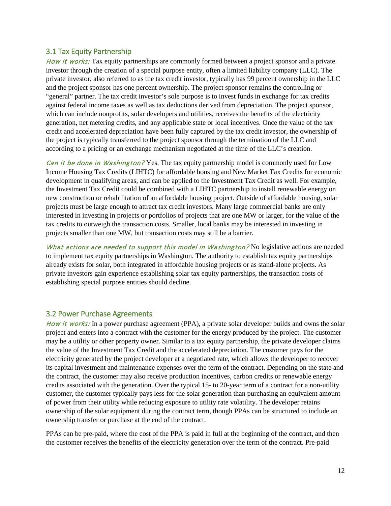#### <span id="page-11-0"></span>3.1 Tax Equity Partnership

How it works: Tax equity partnerships are commonly formed between a project sponsor and a private investor through the creation of a special purpose entity, often a limited liability company (LLC). The private investor, also referred to as the tax credit investor, typically has 99 percent ownership in the LLC and the project sponsor has one percent ownership. The project sponsor remains the controlling or "general" partner. The tax credit investor's sole purpose is to invest funds in exchange for tax credits against federal income taxes as well as tax deductions derived from depreciation. The project sponsor, which can include nonprofits, solar developers and utilities, receives the benefits of the electricity generation, net metering credits, and any applicable state or local incentives. Once the value of the tax credit and accelerated depreciation have been fully captured by the tax credit investor, the ownership of the project is typically transferred to the project sponsor through the termination of the LLC and according to a pricing or an exchange mechanism negotiated at the time of the LLC's creation.

Can it be done in Washington? Yes. The tax equity partnership model is commonly used for Low Income Housing Tax Credits (LIHTC) for affordable housing and New Market Tax Credits for economic development in qualifying areas, and can be applied to the Investment Tax Credit as well. For example, the Investment Tax Credit could be combined with a LIHTC partnership to install renewable energy on new construction or rehabilitation of an affordable housing project. Outside of affordable housing, solar projects must be large enough to attract tax credit investors. Many large commercial banks are only interested in investing in projects or portfolios of projects that are one MW or larger, for the value of the tax credits to outweigh the transaction costs. Smaller, local banks may be interested in investing in projects smaller than one MW, but transaction costs may still be a barrier.

What actions are needed to support this model in Washington? No legislative actions are needed to implement tax equity partnerships in Washington. The authority to establish tax equity partnerships already exists for solar, both integrated in affordable housing projects or as stand-alone projects. As private investors gain experience establishing solar tax equity partnerships, the transaction costs of establishing special purpose entities should decline.

#### <span id="page-11-1"></span>3.2 Power Purchase Agreements

How it works: In a power purchase agreement (PPA), a private solar developer builds and owns the solar project and enters into a contract with the customer for the energy produced by the project. The customer may be a utility or other property owner. Similar to a [tax equity partnership,](#page-11-0) the private developer claims the value of the Investment Tax Credit and the accelerated depreciation. The customer pays for the electricity generated by the project developer at a negotiated rate, which allows the developer to recover its capital investment and maintenance expenses over the term of the contract. Depending on the state and the contract, the customer may also receive production incentives, carbon credits or renewable energy credits associated with the generation. Over the typical 15- to 20-year term of a contract for a non-utility customer, the customer typically pays less for the solar generation than purchasing an equivalent amount of power from their utility while reducing exposure to utility rate volatility. The developer retains ownership of the solar equipment during the contract term, though PPAs can be structured to include an ownership transfer or purchase at the end of the contract.

PPAs can be pre-paid, where the cost of the PPA is paid in full at the beginning of the contract, and then the customer receives the benefits of the electricity generation over the term of the contract. Pre-paid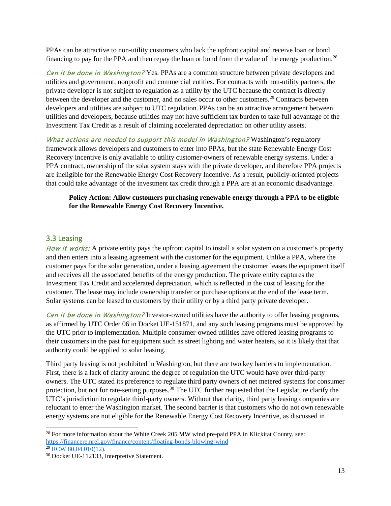PPAs can be attractive to non-utility customers who lack the upfront capital and receive loan or bond financing to pay for the PPA and then repay the loan or bond from the value of the energy production.<sup>[28](#page-12-1)</sup>

Can it be done in Washington? Yes. PPAs are a common structure between private developers and utilities and government, nonprofit and commercial entities. For contracts with non-utility partners, the private developer is not subject to regulation as a utility by the UTC because the contract is directly between the developer and the customer, and no sales occur to other customers.<sup>[29](#page-12-2)</sup> Contracts between developers and utilities are subject to UTC regulation. PPAs can be an attractive arrangement between utilities and developers, because utilities may not have sufficient tax burden to take full advantage of the Investment Tax Credit as a result of claiming accelerated depreciation on other utility assets.

What actions are needed to support this model in Washington? Washington's regulatory framework allows developers and customers to enter into PPAs, but the state Renewable Energy Cost Recovery Incentive is only available to utility customer-owners of renewable energy systems. Under a PPA contract, ownership of the solar system stays with the private developer, and therefore PPA projects are ineligible for the Renewable Energy Cost Recovery Incentive. As a result, publicly-oriented projects that could take advantage of the investment tax credit through a PPA are at an economic disadvantage.

#### **Policy Action: Allow customers purchasing renewable energy through a PPA to be eligible for the Renewable Energy Cost Recovery Incentive.**

#### <span id="page-12-0"></span>3.3 Leasing

How it works: A private entity pays the upfront capital to install a solar system on a customer's property and then enters into a leasing agreement with the customer for the equipment. Unlike a PPA, where the customer pays for the solar generation, under a leasing agreement the customer leases the equipment itself and receives all the associated benefits of the energy production. The private entity captures the Investment Tax Credit and accelerated depreciation, which is reflected in the cost of leasing for the customer. The lease may include ownership transfer or purchase options at the end of the lease term. Solar systems can be leased to customers by their utility or by a third party private developer.

Can it be done in Washington? Investor-owned utilities have the authority to offer leasing programs, as affirmed by UTC Order 06 in Docket UE-151871, and any such leasing programs must be approved by the UTC prior to implementation. Multiple consumer-owned utilities have offered leasing programs to their customers in the past for equipment such as street lighting and water heaters, so it is likely that that authority could be applied to solar leasing.

Third party leasing is not prohibited in Washington, but there are two key barriers to implementation. First, there is a lack of clarity around the degree of regulation the UTC would have over third-party owners. The UTC stated its preference to regulate third party owners of net metered systems for consumer protection, but not for rate-setting purposes.<sup>[30](#page-12-3)</sup> The UTC further requested that the Legislature clarify the UTC's jurisdiction to regulate third-party owners. Without that clarity, third party leasing companies are reluctant to enter the Washington market. The second barrier is that customers who do not own renewable energy systems are not eligible for the Renewable Energy Cost Recovery Incentive, as discussed in

<span id="page-12-1"></span><sup>&</sup>lt;sup>28</sup> For more information about the White Creek 205 MW wind pre-paid PPA in Klickitat County, see: <https://financere.nrel.gov/finance/content/floating-bonds-blowing-wind>

<span id="page-12-2"></span> $29$  [RCW 80.04.010\(12\).](http://app.leg.wa.gov/RCW/default.aspx?cite=80.04.010)

<span id="page-12-3"></span><sup>30</sup> Docket UE-112133, Interpretive Statement.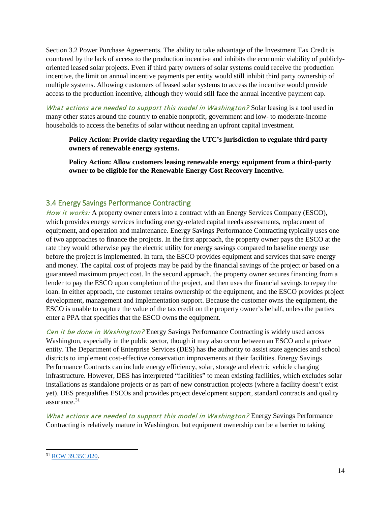Section 3.2 Power Purchase Agreements. The ability to take advantage of the Investment Tax Credit is countered by the lack of access to the production incentive and inhibits the economic viability of publiclyoriented leased solar projects. Even if third party owners of solar systems could receive the production incentive, the limit on annual incentive payments per entity would still inhibit third party ownership of multiple systems. Allowing customers of leased solar systems to access the incentive would provide access to the production incentive, although they would still face the annual incentive payment cap.

What actions are needed to support this model in Washington? Solar leasing is a tool used in many other states around the country to enable nonprofit, government and low- to moderate-income households to access the benefits of solar without needing an upfront capital investment.

**Policy Action: Provide clarity regarding the UTC's jurisdiction to regulate third party owners of renewable energy systems.**

**Policy Action: Allow customers leasing renewable energy equipment from a third-party owner to be eligible for the Renewable Energy Cost Recovery Incentive.**

#### <span id="page-13-0"></span>3.4 Energy Savings Performance Contracting

How it works: A property owner enters into a contract with an Energy Services Company (ESCO), which provides energy services including energy-related capital needs assessments, replacement of equipment, and operation and maintenance. Energy Savings Performance Contracting typically uses one of two approaches to finance the projects. In the first approach, the property owner pays the ESCO at the rate they would otherwise pay the electric utility for energy savings compared to baseline energy use before the project is implemented. In turn, the ESCO provides equipment and services that save energy and money. The capital cost of projects may be paid by the financial savings of the project or based on a guaranteed maximum project cost. In the second approach, the property owner secures financing from a lender to pay the ESCO upon completion of the project, and then uses the financial savings to repay the loan. In either approach, the customer retains ownership of the equipment, and the ESCO provides project development, management and implementation support. Because the customer owns the equipment, the ESCO is unable to capture the value of the tax credit on the property owner's behalf, unless the parties enter a PPA that specifies that the ESCO owns the equipment.

Can it be done in Washington? Energy Savings Performance Contracting is widely used across Washington, especially in the public sector, though it may also occur between an ESCO and a private entity. The Department of Enterprise Services (DES) has the authority to assist state agencies and school districts to implement cost-effective conservation improvements at their facilities. Energy Savings Performance Contracts can include energy efficiency, solar, storage and electric vehicle charging infrastructure. However, DES has interpreted "facilities" to mean existing facilities, which excludes solar installations as standalone projects or as part of new construction projects (where a facility doesn't exist yet). DES prequalifies ESCOs and provides project development support, standard contracts and quality assurance.[31](#page-13-1)

What actions are needed to support this model in Washington? Energy Savings Performance Contracting is relatively mature in Washington, but equipment ownership can be a barrier to taking

<span id="page-13-1"></span> <sup>31</sup> [RCW 39.35C.020.](http://app.leg.wa.gov/RCW/default.aspx?cite=39.35C.020)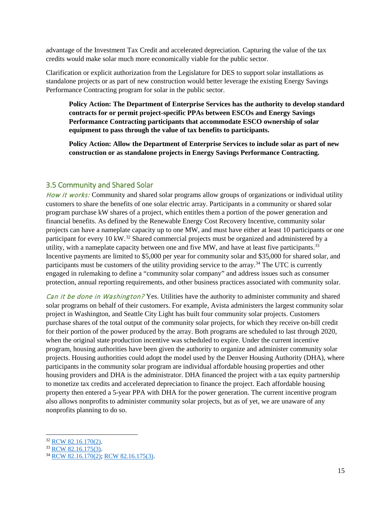advantage of the Investment Tax Credit and accelerated depreciation. Capturing the value of the tax credits would make solar much more economically viable for the public sector.

Clarification or explicit authorization from the Legislature for DES to support solar installations as standalone projects or as part of new construction would better leverage the existing Energy Savings Performance Contracting program for solar in the public sector.

**Policy Action: The Department of Enterprise Services has the authority to develop standard contracts for or permit project-specific PPAs between ESCOs and Energy Savings Performance Contracting participants that accommodate ESCO ownership of solar equipment to pass through the value of tax benefits to participants.**

**Policy Action: Allow the Department of Enterprise Services to include solar as part of new construction or as standalone projects in Energy Savings Performance Contracting.**

#### <span id="page-14-0"></span>3.5 Community and Shared Solar

How it works: Community and shared solar programs allow groups of organizations or individual utility customers to share the benefits of one solar electric array. Participants in a community or shared solar program purchase kW shares of a project, which entitles them a portion of the power generation and financial benefits. As defined by the Renewable Energy Cost Recovery Incentive, community solar projects can have a nameplate capacity up to one MW, and must have either at least 10 participants or one participant for every 10 kW.<sup>[32](#page-14-1)</sup> Shared commercial projects must be organized and administered by a utility, with a nameplate capacity between one and five MW, and have at least five participants.<sup>33</sup> Incentive payments are limited to \$5,000 per year for community solar and \$35,000 for shared solar, and participants must be customers of the utility providing service to the array.<sup>[34](#page-14-3)</sup> The UTC is currently engaged in rulemaking to define a "community solar company" and address issues such as consumer protection, annual reporting requirements, and other business practices associated with community solar.

Can it be done in Washington? Yes. Utilities have the authority to administer community and shared solar programs on behalf of their customers. For example, Avista administers the largest community solar project in Washington, and Seattle City Light has built four community solar projects. Customers purchase shares of the total output of the community solar projects, for which they receive on-bill credit for their portion of the power produced by the array. Both programs are scheduled to last through 2020, when the original state production incentive was scheduled to expire. Under the current incentive program, housing authorities have been given the authority to organize and administer community solar projects. Housing authorities could adopt the model used by the Denver Housing Authority (DHA), where participants in the community solar program are individual affordable housing properties and other housing providers and DHA is the administrator. DHA financed the project with a tax equity partnership to monetize tax credits and accelerated depreciation to finance the project. Each affordable housing property then entered a 5-year PPA with DHA for the power generation. The current incentive program also allows nonprofits to administer community solar projects, but as of yet, we are unaware of any nonprofits planning to do so.

<span id="page-14-1"></span> <sup>32</sup> [RCW 82.16.170\(2\).](http://app.leg.wa.gov/RCW/default.aspx?cite=82.16.170)

<span id="page-14-2"></span> $33$  [RCW 82.16.175\(3\).](http://app.leg.wa.gov/RCW/default.aspx?cite=82.16.175)

<span id="page-14-3"></span><sup>34</sup> [RCW 82.16.170\(2\);](http://app.leg.wa.gov/RCW/default.aspx?cite=82.16.170) [RCW 82.16.175\(3\).](http://app.leg.wa.gov/RCW/default.aspx?cite=82.16.175)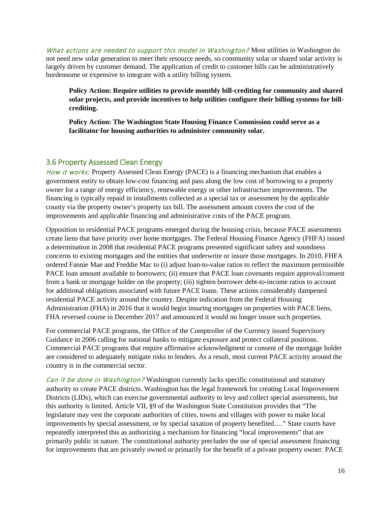What actions are needed to support this model in Washington? Most utilities in Washington do not need new solar generation to meet their resource needs, so community solar or shared solar activity is largely driven by customer demand. The application of credit to customer bills can be administratively burdensome or expensive to integrate with a utility billing system.

**Policy Action: Require utilities to provide monthly bill-crediting for community and shared solar projects, and provide incentives to help utilities configure their billing systems for billcrediting.**

**Policy Action: The Washington State Housing Finance Commission could serve as a facilitator for housing authorities to administer community solar.** 

#### <span id="page-15-0"></span>3.6 Property Assessed Clean Energy

How it works: Property Assessed Clean Energy (PACE) is a financing mechanism that enables a government entity to obtain low-cost financing and pass along the low cost of borrowing to a property owner for a range of energy efficiency, renewable energy or other infrastructure improvements. The financing is typically repaid in installments collected as a special tax or assessment by the applicable county via the property owner's property tax bill. The assessment amount covers the cost of the improvements and applicable financing and administrative costs of the PACE program.

Opposition to residential PACE programs emerged during the housing crisis, because PACE assessments create liens that have priority over home mortgages. The Federal Housing Finance Agency (FHFA) issued a determination in 2008 that residential PACE programs presented significant safety and soundness concerns to existing mortgages and the entities that underwrite or insure those mortgages. In 2010, FHFA ordered Fannie Mae and Freddie Mac to (i) adjust loan-to-value ratios to reflect the maximum permissible PACE loan amount available to borrowers; (ii) ensure that PACE loan covenants require approval/consent from a bank or mortgage holder on the property; (iii) tighten borrower debt-to-income ratios to account for additional obligations associated with future PACE loans. These actions considerably dampened residential PACE activity around the country. Despite indication from the Federal Housing Administration (FHA) in 2016 that it would begin insuring mortgages on properties with PACE liens, FHA reversed course in December 2017 and announced it would no longer insure such properties.

For commercial PACE programs, the Office of the Comptroller of the Currency issued Supervisory Guidance in 2006 calling for national banks to mitigate exposure and protect collateral positions. Commercial PACE programs that require affirmative acknowledgment or consent of the mortgage holder are considered to adequately mitigate risks to lenders. As a result, most current PACE activity around the country is in the commercial sector.

Can it be done in Washington? Washington currently lacks specific constitutional and statutory authority to create PACE districts. Washington has the legal framework for creating Local Improvement Districts (LIDs), which can exercise governmental authority to levy and collect special assessments, but this authority is limited. Article VII, §9 of the Washington State Constitution provides that "The legislature may vest the corporate authorities of cities, towns and villages with power to make local improvements by special assessment, or by special taxation of property benefited…." State courts have repeatedly interpreted this as authorizing a mechanism for financing "local improvements" that are primarily public in nature. The constitutional authority precludes the use of special assessment financing for improvements that are privately owned or primarily for the benefit of a private property owner. PACE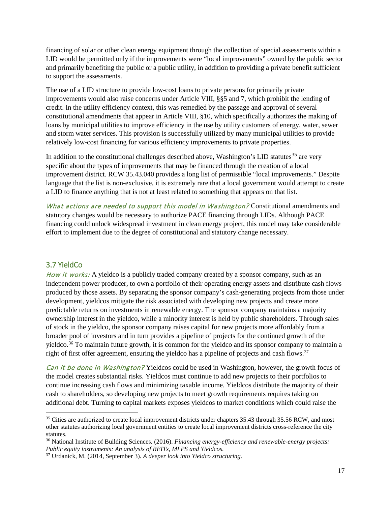financing of solar or other clean energy equipment through the collection of special assessments within a LID would be permitted only if the improvements were "local improvements" owned by the public sector and primarily benefiting the public or a public utility, in addition to providing a private benefit sufficient to support the assessments.

The use of a LID structure to provide low-cost loans to private persons for primarily private improvements would also raise concerns under Article VIII, §§5 and 7, which prohibit the lending of credit. In the utility efficiency context, this was remedied by the passage and approval of several constitutional amendments that appear in Article VIII, §10, which specifically authorizes the making of loans by municipal utilities to improve efficiency in the use by utility customers of energy, water, sewer and storm water services. This provision is successfully utilized by many municipal utilities to provide relatively low-cost financing for various efficiency improvements to private properties.

In addition to the constitutional challenges described above, Washington's LID statutes<sup>[35](#page-16-1)</sup> are very specific about the types of improvements that may be financed through the creation of a local improvement district. RCW 35.43.040 provides a long list of permissible "local improvements." Despite language that the list is non-exclusive, it is extremely rare that a local government would attempt to create a LID to finance anything that is not at least related to something that appears on that list.

What actions are needed to support this model in Washington? Constitutional amendments and statutory changes would be necessary to authorize PACE financing through LIDs. Although PACE financing could unlock widespread investment in clean energy project, this model may take considerable effort to implement due to the degree of constitutional and statutory change necessary.

#### <span id="page-16-0"></span>3.7 YieldCo

How it works: A yieldco is a publicly traded company created by a sponsor company, such as an independent power producer, to own a portfolio of their operating energy assets and distribute cash flows produced by those assets. By separating the sponsor company's cash-generating projects from those under development, yieldcos mitigate the risk associated with developing new projects and create more predictable returns on investments in renewable energy. The sponsor company maintains a majority ownership interest in the yieldco, while a minority interest is held by public shareholders. Through sales of stock in the yieldco, the sponsor company raises capital for new projects more affordably from a broader pool of investors and in turn provides a pipeline of projects for the continued growth of the yieldco.<sup>[36](#page-16-2)</sup> To maintain future growth, it is common for the yieldco and its sponsor company to maintain a right of first offer agreement, ensuring the yieldco has a pipeline of projects and cash flows.<sup>[37](#page-16-3)</sup>

Can it be done in Washington? Yieldcos could be used in Washington, however, the growth focus of the model creates substantial risks. Yieldcos must continue to add new projects to their portfolios to continue increasing cash flows and minimizing taxable income. Yieldcos distribute the majority of their cash to shareholders, so developing new projects to meet growth requirements requires taking on additional debt. Turning to capital markets exposes yieldcos to market conditions which could raise the

<span id="page-16-1"></span><sup>&</sup>lt;sup>35</sup> Cities are authorized to create local improvement districts under chapters 35.43 through 35.56 RCW, and most other statutes authorizing local government entities to create local improvement districts cross-reference the city statutes.

<span id="page-16-2"></span><sup>36</sup> National Institute of Building Sciences. (2016). *Financing energy-efficiency and renewable-energy projects: Public equity instruments: An analysis of REITs, MLPS and Yieldcos.*

<span id="page-16-3"></span><sup>37</sup> Urdanick, M. (2014, September 3). *A deeper look into Yieldco structuring.*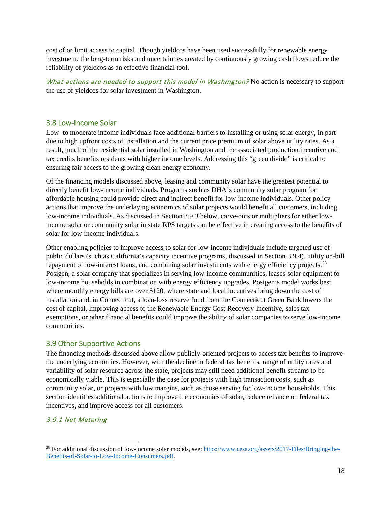cost of or limit access to capital. Though yieldcos have been used successfully for renewable energy investment, the long-term risks and uncertainties created by continuously growing cash flows reduce the reliability of yieldcos as an effective financial tool.

What actions are needed to support this model in Washington? No action is necessary to support the use of yieldcos for solar investment in Washington.

#### <span id="page-17-0"></span>3.8 Low-Income Solar

Low- to moderate income individuals face additional barriers to installing or using solar energy, in part due to high upfront costs of installation and the current price premium of solar above utility rates. As a result, much of the residential solar installed in Washington and the associated production incentive and tax credits benefits residents with higher income levels. Addressing this "green divide" is critical to ensuring fair access to the growing clean energy economy.

Of the financing models discussed above, leasing and community solar have the greatest potential to directly benefit low-income individuals. Programs such as DHA's community solar program for affordable housing could provide direct and indirect benefit for low-income individuals. Other policy actions that improve the underlaying economics of solar projects would benefit all customers, including low-income individuals. As discussed in Section 3.9.3 below, carve-outs or multipliers for either lowincome solar or community solar in state RPS targets can be effective in creating access to the benefits of solar for low-income individuals.

Other enabling policies to improve access to solar for low-income individuals include targeted use of public dollars (such as California's capacity incentive programs, discussed in Section 3.9.4), utility on-bill repayment of low-interest loans, and combining solar investments with energy efficiency projects.<sup>[38](#page-17-2)</sup> Posigen, a solar company that specializes in serving low-income communities, leases solar equipment to low-income households in combination with energy efficiency upgrades. Posigen's model works best where monthly energy bills are over \$120, where state and local incentives bring down the cost of installation and, in Connecticut, a loan-loss reserve fund from the Connecticut Green Bank lowers the cost of capital. Improving access to the Renewable Energy Cost Recovery Incentive, sales tax exemptions, or other financial benefits could improve the ability of solar companies to serve low-income communities.

#### <span id="page-17-1"></span>3.9 Other Supportive Actions

The financing methods discussed above allow publicly-oriented projects to access tax benefits to improve the underlying economics. However, with the decline in federal tax benefits, range of utility rates and variability of solar resource across the state, projects may still need additional benefit streams to be economically viable. This is especially the case for projects with high transaction costs, such as community solar, or projects with low margins, such as those serving for low-income households. This section identifies additional actions to improve the economics of solar, reduce reliance on federal tax incentives, and improve access for all customers.

#### 3.9.1 Net Metering

<span id="page-17-2"></span> <sup>38</sup> For additional discussion of low-income solar models, see: [https://www.cesa.org/assets/2017-Files/Bringing-the-](https://www.cesa.org/assets/2017-Files/Bringing-the-Benefits-of-Solar-to-Low-Income-Consumers.pdf)[Benefits-of-Solar-to-Low-Income-Consumers.pdf.](https://www.cesa.org/assets/2017-Files/Bringing-the-Benefits-of-Solar-to-Low-Income-Consumers.pdf)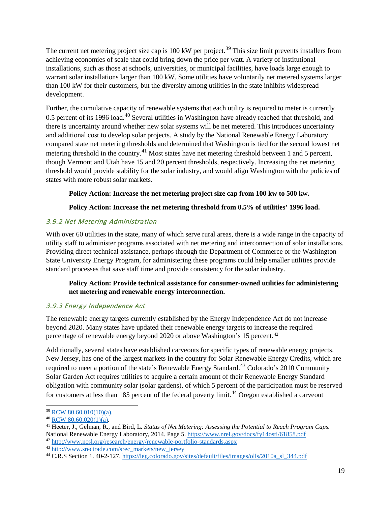The current net metering project size cap is 100 kW per project.<sup>[39](#page-18-0)</sup> This size limit prevents installers from achieving economies of scale that could bring down the price per watt. A variety of institutional installations, such as those at schools, universities, or municipal facilities, have loads large enough to warrant solar installations larger than 100 kW. Some utilities have voluntarily net metered systems larger than 100 kW for their customers, but the diversity among utilities in the state inhibits widespread development.

Further, the cumulative capacity of renewable systems that each utility is required to meter is currently 0.5 percent of its 1996 load.<sup>[40](#page-18-1)</sup> Several utilities in Washington have already reached that threshold, and there is uncertainty around whether new solar systems will be net metered. This introduces uncertainty and additional cost to develop solar projects. A study by the National Renewable Energy Laboratory compared state net metering thresholds and determined that Washington is tied for the second lowest net metering threshold in the country.<sup>[41](#page-18-2)</sup> Most states have net metering threshold between 1 and 5 percent, though Vermont and Utah have 15 and 20 percent thresholds, respectively. Increasing the net metering threshold would provide stability for the solar industry, and would align Washington with the policies of states with more robust solar markets.

#### **Policy Action: Increase the net metering project size cap from 100 kw to 500 kw.**

#### **Policy Action: Increase the net metering threshold from 0.5% of utilities' 1996 load.**

#### 3.9.2 Net Metering Administration

With over 60 utilities in the state, many of which serve rural areas, there is a wide range in the capacity of utility staff to administer programs associated with net metering and interconnection of solar installations. Providing direct technical assistance, perhaps through the Department of Commerce or the Washington State University Energy Program, for administering these programs could help smaller utilities provide standard processes that save staff time and provide consistency for the solar industry.

#### **Policy Action: Provide technical assistance for consumer-owned utilities for administering net metering and renewable energy interconnection.**

#### 3.9.3 Energy Independence Act

The renewable energy targets currently established by the Energy Independence Act do not increase beyond 2020. Many states have updated their renewable energy targets to increase the required percentage of renewable energy beyond 2020 or above Washington's 15 percent.<sup>[42](#page-18-3)</sup>

Additionally, several states have established carveouts for specific types of renewable energy projects. New Jersey, has one of the largest markets in the country for Solar Renewable Energy Credits, which are required to meet a portion of the state's Renewable Energy Standard.<sup>[43](#page-18-4)</sup> Colorado's 2010 Community Solar Garden Act requires utilities to acquire a certain amount of their Renewable Energy Standard obligation with community solar (solar gardens), of which 5 percent of the participation must be reserved for customers at less than 185 percent of the federal poverty limit.<sup>[44](#page-18-5)</sup> Oregon established a carveout

<sup>39</sup> [RCW 80.60.010\(10\)\(a\).](http://app.leg.wa.gov/RCW/default.aspx?cite=80.60.010)

<span id="page-18-1"></span><span id="page-18-0"></span> $40$  [RCW 80.60.020\(1\)\(a\).](http://app.leg.wa.gov/RCW/default.aspx?cite=80.60.020)

<span id="page-18-2"></span><sup>41</sup> Heeter, J., Gelman, R., and Bird, L. *Status of Net Metering: Assessing the Potential to Reach Program Caps.* National Renewable Energy Laboratory, 2014. Page 5[. https://www.nrel.gov/docs/fy14osti/61858.pdf](https://www.nrel.gov/docs/fy14osti/61858.pdf)

<span id="page-18-3"></span><sup>42</sup> <http://www.ncsl.org/research/energy/renewable-portfolio-standards.aspx>

<span id="page-18-4"></span><sup>43</sup> [http://www.srectrade.com/srec\\_markets/new\\_jersey](http://www.srectrade.com/srec_markets/new_jersey)

<span id="page-18-5"></span><sup>44</sup> C.R.S Section 1. 40-2-127[. https://leg.colorado.gov/sites/default/files/images/olls/2010a\\_sl\\_344.pdf](https://leg.colorado.gov/sites/default/files/images/olls/2010a_sl_344.pdf)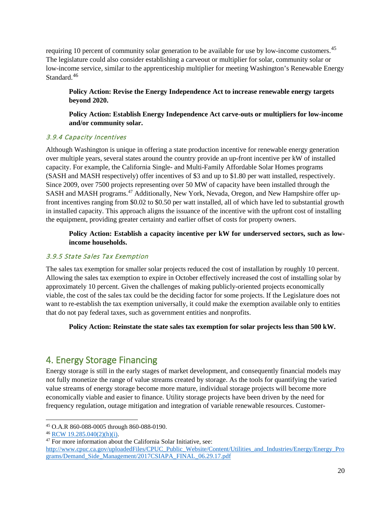requiring 10 percent of community solar generation to be available for use by low-income customers.<sup>[45](#page-19-1)</sup> The legislature could also consider establishing a carveout or multiplier for solar, community solar or low-income service, similar to the apprenticeship multiplier for meeting Washington's Renewable Energy Standard.<sup>[46](#page-19-2)</sup>

**Policy Action: Revise the Energy Independence Act to increase renewable energy targets beyond 2020.**

**Policy Action: Establish Energy Independence Act carve-outs or multipliers for low-income and/or community solar.**

#### 3.9.4 Capacity Incentives

Although Washington is unique in offering a state production incentive for renewable energy generation over multiple years, several states around the country provide an up-front incentive per kW of installed capacity. For example, the California Single- and Multi-Family Affordable Solar Homes programs (SASH and MASH respectively) offer incentives of \$3 and up to \$1.80 per watt installed, respectively. Since 2009, over 7500 projects representing over 50 MW of capacity have been installed through the SASH and MASH programs.<sup>[47](#page-19-3)</sup> Additionally, New York, Nevada, Oregon, and New Hampshire offer upfront incentives ranging from \$0.02 to \$0.50 per watt installed, all of which have led to substantial growth in installed capacity. This approach aligns the issuance of the incentive with the upfront cost of installing the equipment, providing greater certainty and earlier offset of costs for property owners.

**Policy Action: Establish a capacity incentive per kW for underserved sectors, such as lowincome households.**

#### 3.9.5 State Sales Tax Exemption

The sales tax exemption for smaller solar projects reduced the cost of installation by roughly 10 percent. Allowing the sales tax exemption to expire in October effectively increased the cost of installing solar by approximately 10 percent. Given the challenges of making publicly-oriented projects economically viable, the cost of the sales tax could be the deciding factor for some projects. If the Legislature does not want to re-establish the tax exemption universally, it could make the exemption available only to entities that do not pay federal taxes, such as government entities and nonprofits.

**Policy Action: Reinstate the state sales tax exemption for solar projects less than 500 kW.**

## <span id="page-19-0"></span>4. Energy Storage Financing

Energy storage is still in the early stages of market development, and consequently financial models may not fully monetize the range of value streams created by storage. As the tools for quantifying the varied value streams of energy storage become more mature, individual storage projects will become more economically viable and easier to finance. Utility storage projects have been driven by the need for frequency regulation, outage mitigation and integration of variable renewable resources. Customer-

<span id="page-19-1"></span> <sup>45</sup> O.A.R 860-088-0005 through 860-088-0190.

<span id="page-19-2"></span><sup>46</sup> [RCW 19.285.040\(2\)\(h\)\(i\).](http://app.leg.wa.gov/RCW/default.aspx?cite=19.285.040)

<span id="page-19-3"></span><sup>47</sup> For more information about the California Solar Initiative, see:

[http://www.cpuc.ca.gov/uploadedFiles/CPUC\\_Public\\_Website/Content/Utilities\\_and\\_Industries/Energy/Energy\\_Pro](http://www.cpuc.ca.gov/uploadedFiles/CPUC_Public_Website/Content/Utilities_and_Industries/Energy/Energy_Programs/Demand_Side_Management/2017CSIAPA_FINAL_06.29.17.pdf) [grams/Demand\\_Side\\_Management/2017CSIAPA\\_FINAL\\_06.29.17.pdf](http://www.cpuc.ca.gov/uploadedFiles/CPUC_Public_Website/Content/Utilities_and_Industries/Energy/Energy_Programs/Demand_Side_Management/2017CSIAPA_FINAL_06.29.17.pdf)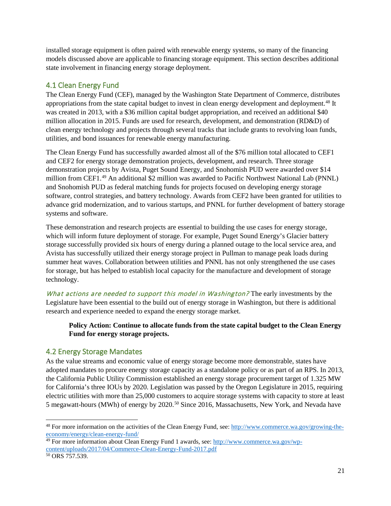installed storage equipment is often paired with renewable energy systems, so many of the financing models discussed above are applicable to financing storage equipment. This section describes additional state involvement in financing energy storage deployment.

#### <span id="page-20-0"></span>4.1 Clean Energy Fund

The Clean Energy Fund (CEF), managed by the Washington State Department of Commerce, distributes appropriations from the state capital budget to invest in clean energy development and deployment.<sup>[48](#page-20-2)</sup> It was created in 2013, with a \$36 million capital budget appropriation, and received an additional \$40 million allocation in 2015. Funds are used for research, development, and demonstration (RD&D) of clean energy technology and projects through several tracks that include grants to revolving loan funds, utilities, and bond issuances for renewable energy manufacturing.

The Clean Energy Fund has successfully awarded almost all of the \$76 million total allocated to CEF1 and CEF2 for energy storage demonstration projects, development, and research. Three storage demonstration projects by Avista, Puget Sound Energy, and Snohomish PUD were awarded over \$14 million from CEF1.[49](#page-20-3) An additional \$2 million was awarded to Pacific Northwest National Lab (PNNL) and Snohomish PUD as federal matching funds for projects focused on developing energy storage software, control strategies, and battery technology. Awards from CEF2 have been granted for utilities to advance grid modernization, and to various startups, and PNNL for further development of battery storage systems and software.

These demonstration and research projects are essential to building the use cases for energy storage, which will inform future deployment of storage. For example, Puget Sound Energy's Glacier battery storage successfully provided six hours of energy during a planned outage to the local service area, and Avista has successfully utilized their energy storage project in Pullman to manage peak loads during summer heat waves. Collaboration between utilities and PNNL has not only strengthened the use cases for storage, but has helped to establish local capacity for the manufacture and development of storage technology.

What actions are needed to support this model in Washington? The early investments by the Legislature have been essential to the build out of energy storage in Washington, but there is additional research and experience needed to expand the energy storage market.

#### **Policy Action: Continue to allocate funds from the state capital budget to the Clean Energy Fund for energy storage projects.**

#### <span id="page-20-1"></span>4.2 Energy Storage Mandates

As the value streams and economic value of energy storage become more demonstrable, states have adopted mandates to procure energy storage capacity as a standalone policy or as part of an RPS. In 2013, the California Public Utility Commission established an energy storage procurement target of 1.325 MW for California's three IOUs by 2020. Legislation was passed by the Oregon Legislature in 2015, requiring electric utilities with more than 25,000 customers to acquire storage systems with capacity to store at least 5 megawatt-hours (MWh) of energy by 2020.[50](#page-20-4) Since 2016, Massachusetts, New York, and Nevada have

<span id="page-20-2"></span> <sup>48</sup> For more information on the activities of the Clean Energy Fund, see: [http://www.commerce.wa.gov/growing-the](http://www.commerce.wa.gov/growing-the-economy/energy/clean-energy-fund/)[economy/energy/clean-energy-fund/](http://www.commerce.wa.gov/growing-the-economy/energy/clean-energy-fund/)

<span id="page-20-3"></span><sup>&</sup>lt;sup>49</sup> For more information about Clean Energy Fund 1 awards, see: [http://www.commerce.wa.gov/wp](http://www.commerce.wa.gov/wp-content/uploads/2017/04/Commerce-Clean-Energy-Fund-2017.pdf)[content/uploads/2017/04/Commerce-Clean-Energy-Fund-2017.pdf](http://www.commerce.wa.gov/wp-content/uploads/2017/04/Commerce-Clean-Energy-Fund-2017.pdf)

<span id="page-20-4"></span><sup>50</sup> ORS 757.539.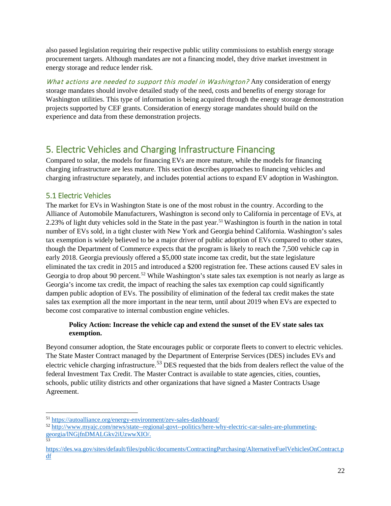also passed legislation requiring their respective public utility commissions to establish energy storage procurement targets. Although mandates are not a financing model, they drive market investment in energy storage and reduce lender risk.

What actions are needed to support this model in Washington? Any consideration of energy storage mandates should involve detailed study of the need, costs and benefits of energy storage for Washington utilities. This type of information is being acquired through the energy storage demonstration projects supported by CEF grants. Consideration of energy storage mandates should build on the experience and data from these demonstration projects.

## <span id="page-21-0"></span>5. Electric Vehicles and Charging Infrastructure Financing

Compared to solar, the models for financing EVs are more mature, while the models for financing charging infrastructure are less mature. This section describes approaches to financing vehicles and charging infrastructure separately, and includes potential actions to expand EV adoption in Washington.

#### <span id="page-21-1"></span>5.1 Electric Vehicles

The market for EVs in Washington State is one of the most robust in the country. According to the Alliance of Automobile Manufacturers, Washington is second only to California in percentage of EVs, at 2.23% of light duty vehicles sold in the State in the past year. [51](#page-21-2) Washington is fourth in the nation in total number of EVs sold, in a tight cluster with New York and Georgia behind California. Washington's sales tax exemption is widely believed to be a major driver of public adoption of EVs compared to other states, though the Department of Commerce expects that the program is likely to reach the 7,500 vehicle cap in early 2018. Georgia previously offered a \$5,000 state income tax credit, but the state legislature eliminated the tax credit in 2015 and introduced a \$200 registration fee. These actions caused EV sales in Georgia to drop about 90 percent.<sup>[52](#page-21-3)</sup> While Washington's state sales tax exemption is not nearly as large as Georgia's income tax credit, the impact of reaching the sales tax exemption cap could significantly dampen public adoption of EVs. The possibility of elimination of the federal tax credit makes the state sales tax exemption all the more important in the near term, until about 2019 when EVs are expected to become cost comparative to internal combustion engine vehicles.

#### **Policy Action: Increase the vehicle cap and extend the sunset of the EV state sales tax exemption.**

Beyond consumer adoption, the State encourages public or corporate fleets to convert to electric vehicles. The State Master Contract managed by the Department of Enterprise Services (DES) includes EVs and electric vehicle charging infrastructure.<sup>[53](#page-21-4)</sup> DES requested that the bids from dealers reflect the value of the federal Investment Tax Credit. The Master Contract is available to state agencies, cities, counties, schools, public utility districts and other organizations that have signed a Master Contracts Usage Agreement.

<span id="page-21-2"></span> <sup>51</sup> <https://autoalliance.org/energy-environment/zev-sales-dashboard/>

<span id="page-21-3"></span><sup>52</sup> [http://www.myajc.com/news/state--regional-govt--politics/here-why-electric-car-sales-are-plummeting](http://www.myajc.com/news/state--regional-govt--politics/here-why-electric-car-sales-are-plummeting-georgia/lNGjfnDMALGkv2iUzwwXIO/)[georgia/lNGjfnDMALGkv2iUzwwXIO/.](http://www.myajc.com/news/state--regional-govt--politics/here-why-electric-car-sales-are-plummeting-georgia/lNGjfnDMALGkv2iUzwwXIO/)<br><sup>53</sup>

<span id="page-21-4"></span>[https://des.wa.gov/sites/default/files/public/documents/ContractingPurchasing/AlternativeFuelVehiclesOnContract.p](https://des.wa.gov/sites/default/files/public/documents/ContractingPurchasing/AlternativeFuelVehiclesOnContract.pdf) [df](https://des.wa.gov/sites/default/files/public/documents/ContractingPurchasing/AlternativeFuelVehiclesOnContract.pdf)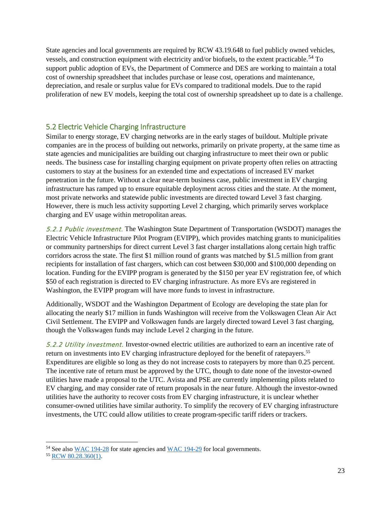State agencies and local governments are required by RCW 43.19.648 to fuel publicly owned vehicles, vessels, and construction equipment with electricity and/or biofuels, to the extent practicable.<sup>[54](#page-22-1)</sup> To support public adoption of EVs, the Department of Commerce and DES are working to maintain a total cost of ownership spreadsheet that includes purchase or lease cost, operations and maintenance, depreciation, and resale or surplus value for EVs compared to traditional models. Due to the rapid proliferation of new EV models, keeping the total cost of ownership spreadsheet up to date is a challenge.

#### <span id="page-22-0"></span>5.2 Electric Vehicle Charging Infrastructure

Similar to energy storage, EV charging networks are in the early stages of buildout. Multiple private companies are in the process of building out networks, primarily on private property, at the same time as state agencies and municipalities are building out charging infrastructure to meet their own or public needs. The business case for installing charging equipment on private property often relies on attracting customers to stay at the business for an extended time and expectations of increased EV market penetration in the future. Without a clear near-term business case, public investment in EV charging infrastructure has ramped up to ensure equitable deployment across cities and the state. At the moment, most private networks and statewide public investments are directed toward Level 3 fast charging. However, there is much less activity supporting Level 2 charging, which primarily serves workplace charging and EV usage within metropolitan areas.

5.2.1 Public investment. The Washington State Department of Transportation (WSDOT) manages the Electric Vehicle Infrastructure Pilot Program (EVIPP), which provides matching grants to municipalities or community partnerships for direct current Level 3 fast charger installations along certain high traffic corridors across the state. The first \$1 million round of grants was matched by \$1.5 million from grant recipients for installation of fast chargers, which can cost between \$30,000 and \$100,000 depending on location. Funding for the EVIPP program is generated by the \$150 per year EV registration fee, of which \$50 of each registration is directed to EV charging infrastructure. As more EVs are registered in Washington, the EVIPP program will have more funds to invest in infrastructure.

Additionally, WSDOT and the Washington Department of Ecology are developing the state plan for allocating the nearly \$17 million in funds Washington will receive from the Volkswagen Clean Air Act Civil Settlement. The EVIPP and Volkswagen funds are largely directed toward Level 3 fast charging, though the Volkswagen funds may include Level 2 charging in the future.

5.2.2 Utility investment. Investor-owned electric utilities are authorized to earn an incentive rate of return on investments into EV charging infrastructure deployed for the benefit of ratepayers.<sup>[55](#page-22-2)</sup> Expenditures are eligible so long as they do not increase costs to ratepayers by more than 0.25 percent. The incentive rate of return must be approved by the UTC, though to date none of the investor-owned utilities have made a proposal to the UTC. Avista and PSE are currently implementing pilots related to EV charging, and may consider rate of return proposals in the near future. Although the investor-owned utilities have the authority to recover costs from EV charging infrastructure, it is unclear whether consumer-owned utilities have similar authority. To simplify the recovery of EV charging infrastructure investments, the UTC could allow utilities to create program-specific tariff riders or trackers.

<span id="page-22-1"></span> <sup>54</sup> See also WAC [194-28](http://apps.leg.wa.gov/wac/default.aspx?cite=194-28) for state agencies and WAC [194-29](http://apps.leg.wa.gov/wac/default.aspx?cite=194-29) for local governments.

<span id="page-22-2"></span><sup>55</sup> [RCW 80.28.360\(1\).](http://app.leg.wa.gov/RCW/default.aspx?cite=80.28.360)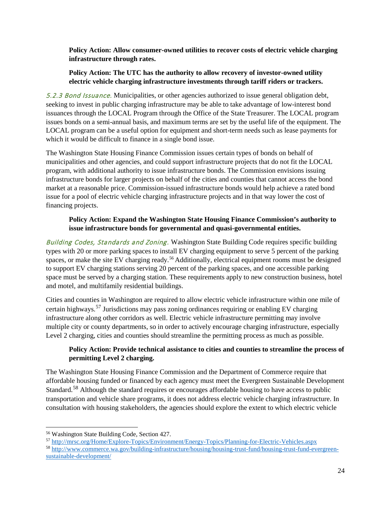**Policy Action: Allow consumer-owned utilities to recover costs of electric vehicle charging infrastructure through rates.**

#### **Policy Action: The UTC has the authority to allow recovery of investor-owned utility electric vehicle charging infrastructure investments through tariff riders or trackers.**

5.2.3 Bond Issuance. Municipalities, or other agencies authorized to issue general obligation debt, seeking to invest in public charging infrastructure may be able to take advantage of low-interest bond issuances through the LOCAL Program through the Office of the State Treasurer. The LOCAL program issues bonds on a semi-annual basis, and maximum terms are set by the useful life of the equipment. The LOCAL program can be a useful option for equipment and short-term needs such as lease payments for which it would be difficult to finance in a single bond issue.

The Washington State Housing Finance Commission issues certain types of bonds on behalf of municipalities and other agencies, and could support infrastructure projects that do not fit the LOCAL program, with additional authority to issue infrastructure bonds. The Commission envisions issuing infrastructure bonds for larger projects on behalf of the cities and counties that cannot access the bond market at a reasonable price. Commission-issued infrastructure bonds would help achieve a rated bond issue for a pool of electric vehicle charging infrastructure projects and in that way lower the cost of financing projects.

#### **Policy Action: Expand the Washington State Housing Finance Commission's authority to issue infrastructure bonds for governmental and quasi-governmental entities.**

Building Codes, Standards and Zoning. Washington State Building Code requires specific building types with 20 or more parking spaces to install EV charging equipment to serve 5 percent of the parking spaces, or make the site EV charging ready.<sup>[56](#page-23-0)</sup> Additionally, electrical equipment rooms must be designed to support EV charging stations serving 20 percent of the parking spaces, and one accessible parking space must be served by a charging station. These requirements apply to new construction business, hotel and motel, and multifamily residential buildings.

Cities and counties in Washington are required to allow electric vehicle infrastructure within one mile of certain highways.<sup>[57](#page-23-1)</sup> Jurisdictions may pass zoning ordinances requiring or enabling EV charging infrastructure along other corridors as well. Electric vehicle infrastructure permitting may involve multiple city or county departments, so in order to actively encourage charging infrastructure, especially Level 2 charging, cities and counties should streamline the permitting process as much as possible.

#### **Policy Action: Provide technical assistance to cities and counties to streamline the process of permitting Level 2 charging.**

The Washington State Housing Finance Commission and the Department of Commerce require that affordable housing funded or financed by each agency must meet the Evergreen Sustainable Development Standard.<sup>[58](#page-23-2)</sup> Although the standard requires or encourages affordable housing to have access to public transportation and vehicle share programs, it does not address electric vehicle charging infrastructure. In consultation with housing stakeholders, the agencies should explore the extent to which electric vehicle

<span id="page-23-0"></span> <sup>56</sup> Washington State Building Code, Section 427.

<span id="page-23-1"></span><sup>57</sup> <http://mrsc.org/Home/Explore-Topics/Environment/Energy-Topics/Planning-for-Electric-Vehicles.aspx>

<span id="page-23-2"></span><sup>58</sup> [http://www.commerce.wa.gov/building-infrastructure/housing/housing-trust-fund/housing-trust-fund-evergreen](http://www.commerce.wa.gov/building-infrastructure/housing/housing-trust-fund/housing-trust-fund-evergreen-sustainable-development/)[sustainable-development/](http://www.commerce.wa.gov/building-infrastructure/housing/housing-trust-fund/housing-trust-fund-evergreen-sustainable-development/)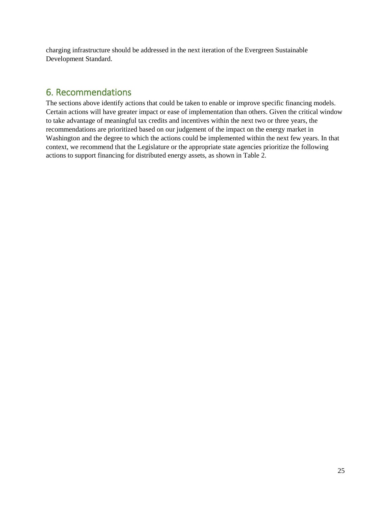charging infrastructure should be addressed in the next iteration of the Evergreen Sustainable Development Standard.

## <span id="page-24-0"></span>6. Recommendations

The sections above identify actions that could be taken to enable or improve specific financing models. Certain actions will have greater impact or ease of implementation than others. Given the critical window to take advantage of meaningful tax credits and incentives within the next two or three years, the recommendations are prioritized based on our judgement of the impact on the energy market in Washington and the degree to which the actions could be implemented within the next few years. In that context, we recommend that the Legislature or the appropriate state agencies prioritize the following actions to support financing for distributed energy assets, as shown in Table 2.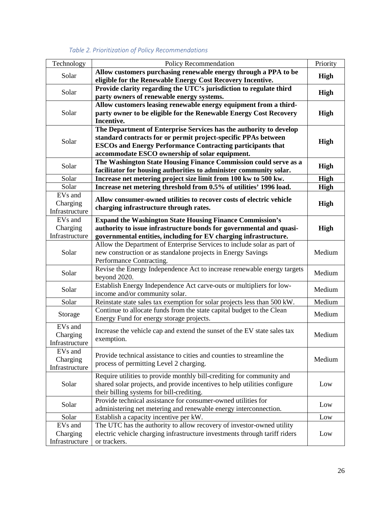<span id="page-25-0"></span>

| Technology                            | Policy Recommendation                                                                                                                  | Priority    |  |  |  |
|---------------------------------------|----------------------------------------------------------------------------------------------------------------------------------------|-------------|--|--|--|
| Solar                                 | Allow customers purchasing renewable energy through a PPA to be                                                                        |             |  |  |  |
|                                       | eligible for the Renewable Energy Cost Recovery Incentive.                                                                             | <b>High</b> |  |  |  |
| Solar                                 | Provide clarity regarding the UTC's jurisdiction to regulate third                                                                     | <b>High</b> |  |  |  |
|                                       | party owners of renewable energy systems.                                                                                              |             |  |  |  |
| Solar                                 | Allow customers leasing renewable energy equipment from a third-                                                                       | High        |  |  |  |
|                                       | party owner to be eligible for the Renewable Energy Cost Recovery<br>Incentive.                                                        |             |  |  |  |
|                                       | The Department of Enterprise Services has the authority to develop                                                                     |             |  |  |  |
|                                       | standard contracts for or permit project-specific PPAs between                                                                         |             |  |  |  |
| Solar                                 | <b>ESCOs and Energy Performance Contracting participants that</b>                                                                      |             |  |  |  |
|                                       | accommodate ESCO ownership of solar equipment.                                                                                         |             |  |  |  |
| Solar                                 | The Washington State Housing Finance Commission could serve as a                                                                       | High        |  |  |  |
|                                       | facilitator for housing authorities to administer community solar.                                                                     |             |  |  |  |
| Solar                                 | Increase net metering project size limit from 100 kw to 500 kw.                                                                        | <b>High</b> |  |  |  |
| Solar                                 | Increase net metering threshold from 0.5% of utilities' 1996 load.                                                                     | High        |  |  |  |
| EVs and                               | Allow consumer-owned utilities to recover costs of electric vehicle                                                                    |             |  |  |  |
| Charging                              | charging infrastructure through rates.                                                                                                 | <b>High</b> |  |  |  |
| Infrastructure<br>EV <sub>s</sub> and |                                                                                                                                        |             |  |  |  |
| Charging                              | <b>Expand the Washington State Housing Finance Commission's</b><br>authority to issue infrastructure bonds for governmental and quasi- | High        |  |  |  |
| Infrastructure                        | governmental entities, including for EV charging infrastructure.                                                                       |             |  |  |  |
|                                       | Allow the Department of Enterprise Services to include solar as part of                                                                |             |  |  |  |
| Solar                                 | new construction or as standalone projects in Energy Savings<br>Medium                                                                 |             |  |  |  |
|                                       | Performance Contracting.                                                                                                               |             |  |  |  |
| Solar                                 | Revise the Energy Independence Act to increase renewable energy targets                                                                | Medium      |  |  |  |
|                                       | beyond 2020.                                                                                                                           |             |  |  |  |
| Solar                                 | Establish Energy Independence Act carve-outs or multipliers for low-                                                                   |             |  |  |  |
|                                       | income and/or community solar.                                                                                                         |             |  |  |  |
| Solar                                 | Reinstate state sales tax exemption for solar projects less than 500 kW.                                                               | Medium      |  |  |  |
| Storage                               | Continue to allocate funds from the state capital budget to the Clean                                                                  |             |  |  |  |
|                                       | Energy Fund for energy storage projects.                                                                                               |             |  |  |  |
| EVs and<br>Charging                   | Increase the vehicle cap and extend the sunset of the EV state sales tax                                                               | Medium      |  |  |  |
| Infrastructure                        | exemption.                                                                                                                             |             |  |  |  |
| EVs and                               |                                                                                                                                        |             |  |  |  |
| Charging                              | Provide technical assistance to cities and counties to streamline the                                                                  | Medium      |  |  |  |
| Infrastructure                        | process of permitting Level 2 charging.                                                                                                |             |  |  |  |
|                                       | Require utilities to provide monthly bill-crediting for community and                                                                  |             |  |  |  |
| Solar                                 | shared solar projects, and provide incentives to help utilities configure                                                              |             |  |  |  |
|                                       | their billing systems for bill-crediting.                                                                                              |             |  |  |  |
| Solar                                 | Provide technical assistance for consumer-owned utilities for                                                                          |             |  |  |  |
|                                       | administering net metering and renewable energy interconnection.                                                                       |             |  |  |  |
| Solar                                 | Establish a capacity incentive per kW.                                                                                                 | Low         |  |  |  |
| EVs and                               | The UTC has the authority to allow recovery of investor-owned utility                                                                  |             |  |  |  |
| Charging                              | electric vehicle charging infrastructure investments through tariff riders                                                             | Low         |  |  |  |
| Infrastructure                        | or trackers.                                                                                                                           |             |  |  |  |

#### *Table 2. Prioritization of Policy Recommendations*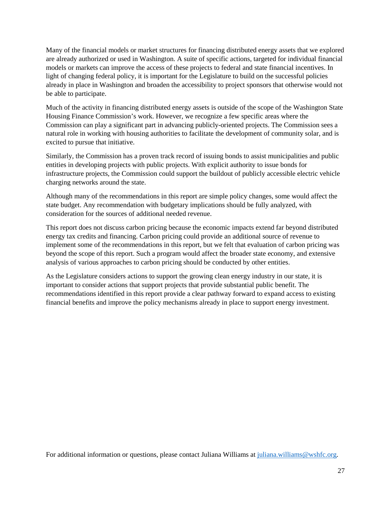Many of the financial models or market structures for financing distributed energy assets that we explored are already authorized or used in Washington. A suite of specific actions, targeted for individual financial models or markets can improve the access of these projects to federal and state financial incentives. In light of changing federal policy, it is important for the Legislature to build on the successful policies already in place in Washington and broaden the accessibility to project sponsors that otherwise would not be able to participate.

Much of the activity in financing distributed energy assets is outside of the scope of the Washington State Housing Finance Commission's work. However, we recognize a few specific areas where the Commission can play a significant part in advancing publicly-oriented projects. The Commission sees a natural role in working with housing authorities to facilitate the development of community solar, and is excited to pursue that initiative.

Similarly, the Commission has a proven track record of issuing bonds to assist municipalities and public entities in developing projects with public projects. With explicit authority to issue bonds for infrastructure projects, the Commission could support the buildout of publicly accessible electric vehicle charging networks around the state.

Although many of the recommendations in this report are simple policy changes, some would affect the state budget. Any recommendation with budgetary implications should be fully analyzed, with consideration for the sources of additional needed revenue.

This report does not discuss carbon pricing because the economic impacts extend far beyond distributed energy tax credits and financing. Carbon pricing could provide an additional source of revenue to implement some of the recommendations in this report, but we felt that evaluation of carbon pricing was beyond the scope of this report. Such a program would affect the broader state economy, and extensive analysis of various approaches to carbon pricing should be conducted by other entities.

As the Legislature considers actions to support the growing clean energy industry in our state, it is important to consider actions that support projects that provide substantial public benefit. The recommendations identified in this report provide a clear pathway forward to expand access to existing financial benefits and improve the policy mechanisms already in place to support energy investment.

For additional information or questions, please contact Juliana Williams at juliana williams @wshfc.org.